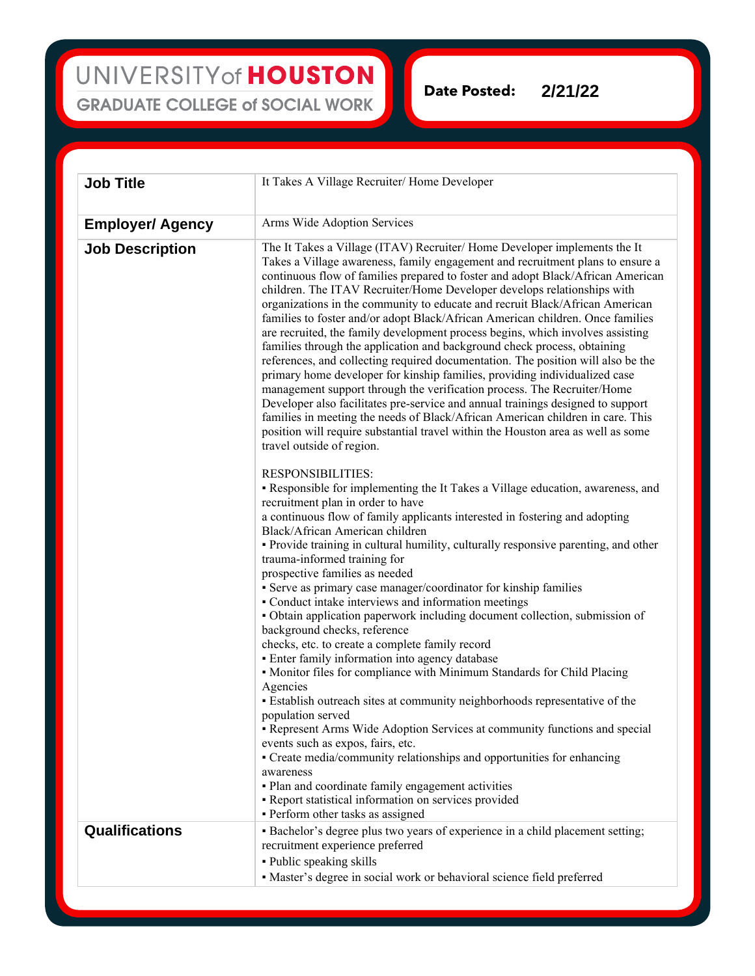UNIVERSITY of HOUSTON **GRADUATE COLLEGE of SOCIAL WORK** 

**Date Posted: 2/21/22**

| <b>Job Title</b>        | It Takes A Village Recruiter/ Home Developer                                                                                                                                                                                                                                                                                                                                                                                                                                                                                                                                                                                                                                                                                                                                                                                                                                                                                                                                                                                                                                                                                                                                                 |
|-------------------------|----------------------------------------------------------------------------------------------------------------------------------------------------------------------------------------------------------------------------------------------------------------------------------------------------------------------------------------------------------------------------------------------------------------------------------------------------------------------------------------------------------------------------------------------------------------------------------------------------------------------------------------------------------------------------------------------------------------------------------------------------------------------------------------------------------------------------------------------------------------------------------------------------------------------------------------------------------------------------------------------------------------------------------------------------------------------------------------------------------------------------------------------------------------------------------------------|
| <b>Employer/ Agency</b> | Arms Wide Adoption Services                                                                                                                                                                                                                                                                                                                                                                                                                                                                                                                                                                                                                                                                                                                                                                                                                                                                                                                                                                                                                                                                                                                                                                  |
| <b>Job Description</b>  | The It Takes a Village (ITAV) Recruiter/ Home Developer implements the It<br>Takes a Village awareness, family engagement and recruitment plans to ensure a<br>continuous flow of families prepared to foster and adopt Black/African American<br>children. The ITAV Recruiter/Home Developer develops relationships with<br>organizations in the community to educate and recruit Black/African American<br>families to foster and/or adopt Black/African American children. Once families<br>are recruited, the family development process begins, which involves assisting<br>families through the application and background check process, obtaining<br>references, and collecting required documentation. The position will also be the<br>primary home developer for kinship families, providing individualized case<br>management support through the verification process. The Recruiter/Home<br>Developer also facilitates pre-service and annual trainings designed to support<br>families in meeting the needs of Black/African American children in care. This<br>position will require substantial travel within the Houston area as well as some<br>travel outside of region. |
|                         | <b>RESPONSIBILITIES:</b><br>• Responsible for implementing the It Takes a Village education, awareness, and<br>recruitment plan in order to have<br>a continuous flow of family applicants interested in fostering and adopting<br>Black/African American children<br>• Provide training in cultural humility, culturally responsive parenting, and other<br>trauma-informed training for<br>prospective families as needed<br>• Serve as primary case manager/coordinator for kinship families                                                                                                                                                                                                                                                                                                                                                                                                                                                                                                                                                                                                                                                                                              |
|                         | • Conduct intake interviews and information meetings<br>• Obtain application paperwork including document collection, submission of<br>background checks, reference<br>checks, etc. to create a complete family record<br>• Enter family information into agency database<br>• Monitor files for compliance with Minimum Standards for Child Placing<br>Agencies<br>• Establish outreach sites at community neighborhoods representative of the                                                                                                                                                                                                                                                                                                                                                                                                                                                                                                                                                                                                                                                                                                                                              |
|                         | population served<br>• Represent Arms Wide Adoption Services at community functions and special<br>events such as expos, fairs, etc.<br>• Create media/community relationships and opportunities for enhancing<br>awareness<br>• Plan and coordinate family engagement activities<br>• Report statistical information on services provided<br>· Perform other tasks as assigned                                                                                                                                                                                                                                                                                                                                                                                                                                                                                                                                                                                                                                                                                                                                                                                                              |
| <b>Qualifications</b>   | · Bachelor's degree plus two years of experience in a child placement setting;<br>recruitment experience preferred<br>· Public speaking skills<br>• Master's degree in social work or behavioral science field preferred                                                                                                                                                                                                                                                                                                                                                                                                                                                                                                                                                                                                                                                                                                                                                                                                                                                                                                                                                                     |